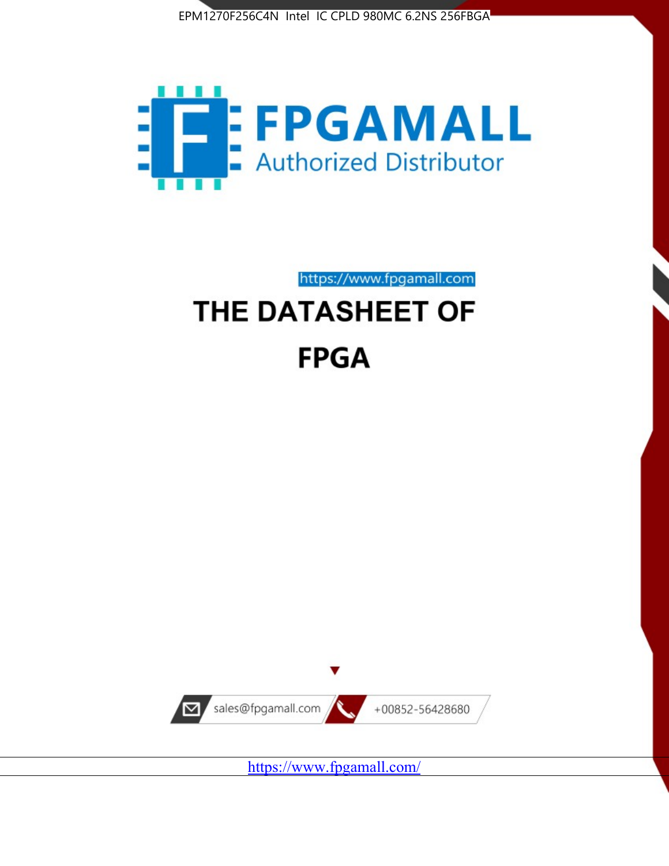



https://www.fpgamall.com

# THE DATASHEET OF **FPGA**



https://www.fpgamall.com/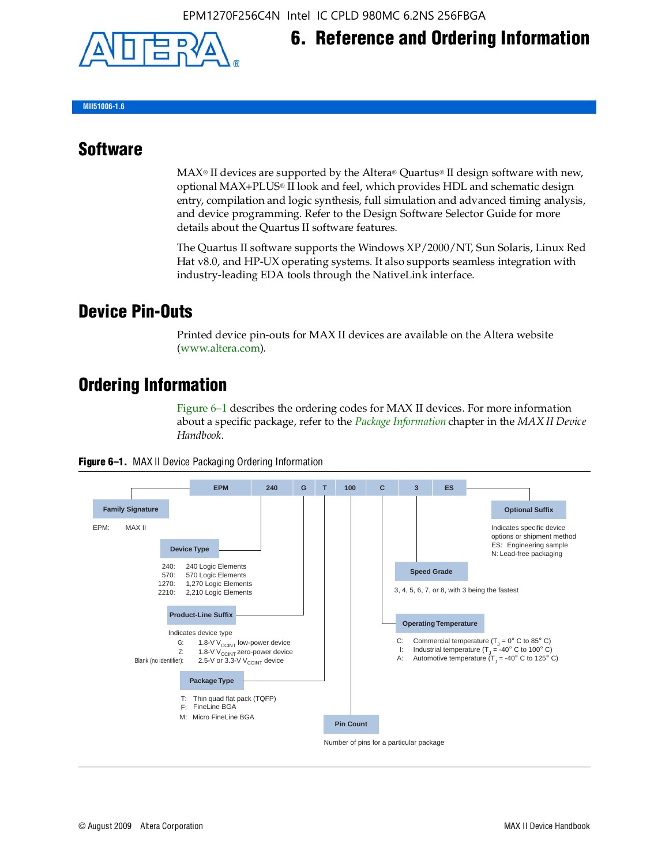

## **6. Reference and Ordering Information**

**MII51006-1.6**

#### **Software**

 $MAX<sup>®</sup>$  II devices are supported by the Altera® Quartus<sup>®</sup> II design software with new, optional MAX+PLUS® II look and feel, which provides HDL and schematic design entry, compilation and logic synthesis, full simulation and advanced timing analysis, and device programming. Refer to the Design Software Selector Guide for more details about the Quartus II software features.

The Quartus II software supports the Windows XP/2000/NT, Sun Solaris, Linux Red Hat v8.0, and HP-UX operating systems. It also supports seamless integration with industry-leading EDA tools through the NativeLink interface.

#### **Device Pin-Outs**

Printed device pin-outs for MAX II devices are available on the Altera website ([www.altera.com](http://www.altera.com/)).

#### **Ordering Information**

Figure 6–1 describes the ordering codes for MAX II devices. For more information about a specific package, refer to the *[Package Information](http://www.altera.com/literature/hb/max2/max2_mii51007.pdf)* chapter in the *MAX II Device Handbook*.



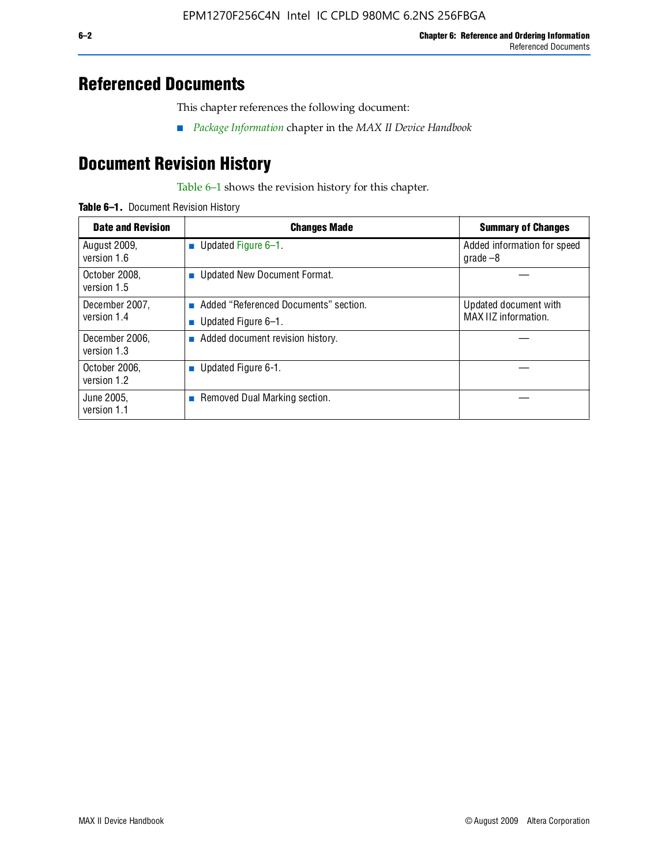### **Referenced Documents**

This chapter references the following document:

■ *[Package Information](http://www.altera.com/literature/hb/max2/max2_mii51007.pdf)* chapter in the *MAX II Device Handbook*

## **Document Revision History**

Table 6–1 shows the revision history for this chapter.

| Table 6-1. Document Revision History |
|--------------------------------------|
|                                      |

| <b>Date and Revision</b>      | <b>Changes Made</b>                                          | <b>Summary of Changes</b>                     |
|-------------------------------|--------------------------------------------------------------|-----------------------------------------------|
| August 2009,<br>version 1.6   | Updated Figure 6-1.<br>п                                     | Added information for speed<br>grade $-8$     |
| October 2008,<br>version 1.5  | Updated New Document Format.                                 |                                               |
| December 2007,<br>version 1.4 | Added "Referenced Documents" section.<br>Updated Figure 6-1. | Updated document with<br>MAX IIZ information. |
| December 2006,<br>version 1.3 | Added document revision history.                             |                                               |
| October 2006.<br>version 1.2  | Updated Figure 6-1.                                          |                                               |
| June 2005.<br>version 1.1     | $\blacksquare$ Removed Dual Marking section.                 |                                               |